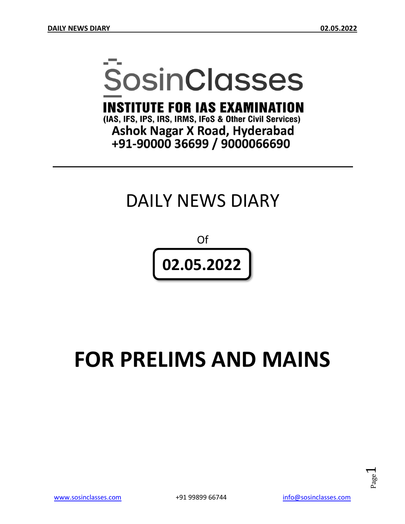# **SosinClasses**

**INSTITUTE FOR IAS EXAMINATION** 

(IAS, IFS, IPS, IRS, IRMS, IFoS & Other Civil Services) **Ashok Nagar X Road, Hyderabad** +91-90000 36699 / 9000066690

## DAILY NEWS DIARY

Of **02.05.2022**

## **FOR PRELIMS AND MAINS**

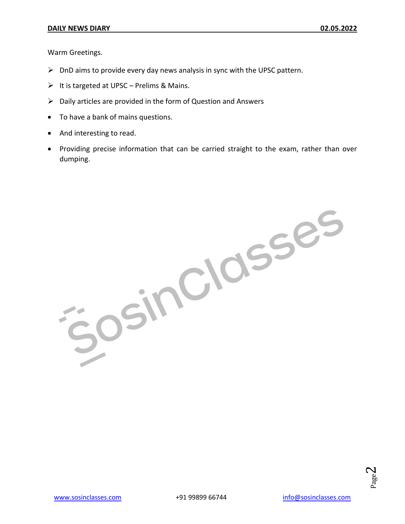Warm Greetings.

- $\triangleright$  DnD aims to provide every day news analysis in sync with the UPSC pattern.
- $\triangleright$  It is targeted at UPSC Prelims & Mains.
- $\triangleright$  Daily articles are provided in the form of Question and Answers
- To have a bank of mains questions.
- And interesting to read.
- Providing precise information that can be carried straight to the exam, rather than over dumping.

JOSINCIOSSES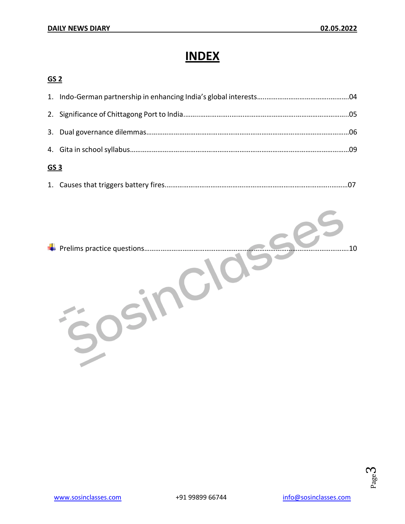## **INDEX**

#### **GS 2**

| <u>GS 3</u> |  |  |
|-------------|--|--|
|             |  |  |
|             |  |  |
|             |  |  |
|             |  |  |

|--|--|--|

Prelims practice questions………………………………………………………………………………………………….10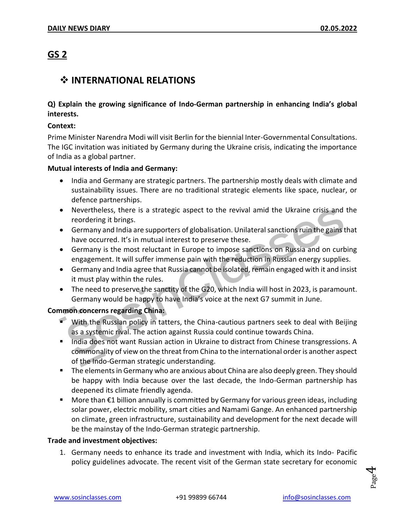#### **GS 2**

#### $\div$  **INTERNATIONAL RELATIONS**

#### **Q) Explain the growing significance of Indo-German partnership in enhancing India's global interests.**

#### **Context:**

Prime Minister Narendra Modi will visit Berlin for the biennial Inter-Governmental Consultations. The IGC invitation was initiated by Germany during the Ukraine crisis, indicating the importance of India as a global partner.

#### **Mutual interests of India and Germany:**

- India and Germany are strategic partners. The partnership mostly deals with climate and sustainability issues. There are no traditional strategic elements like space, nuclear, or defence partnerships.
- Nevertheless, there is a strategic aspect to the revival amid the Ukraine crisis and the reordering it brings.
- Germany and India are supporters of globalisation. Unilateral sanctions ruin the gains that have occurred. It's in mutual interest to preserve these.
- Germany is the most reluctant in Europe to impose sanctions on Russia and on curbing engagement. It will suffer immense pain with the reduction in Russian energy supplies.
- Germany and India agree that Russia cannot be isolated, remain engaged with it and insist it must play within the rules.
- The need to preserve the sanctity of the G20, which India will host in 2023, is paramount. Germany would be happy to have India's voice at the next G7 summit in June.

#### **Common concerns regarding China:**

- With the Russian policy in tatters, the China-cautious partners seek to deal with Beijing as a systemic rival. The action against Russia could continue towards China.
- India does not want Russian action in Ukraine to distract from Chinese transgressions. A commonality of view on the threat from China to the international order is another aspect of the Indo-German strategic understanding.
- **The elements in Germany who are anxious about China are also deeply green. They should** be happy with India because over the last decade, the Indo-German partnership has deepened its climate friendly agenda.
- More than €1 billion annually is committed by Germany for various green ideas, including solar power, electric mobility, smart cities and Namami Gange. An enhanced partnership on climate, green infrastructure, sustainability and development for the next decade will be the mainstay of the Indo-German strategic partnership.

#### **Trade and investment objectives:**

1. Germany needs to enhance its trade and investment with India, which its Indo- Pacific policy guidelines advocate. The recent visit of the German state secretary for economic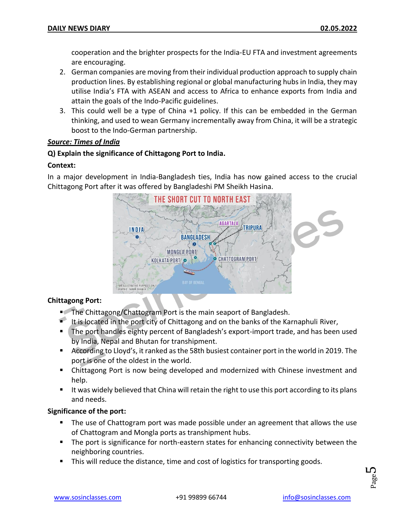cooperation and the brighter prospects for the India-EU FTA and investment agreements are encouraging.

- 2. German companies are moving from their individual production approach to supply chain production lines. By establishing regional or global manufacturing hubs in India, they may utilise India's FTA with ASEAN and access to Africa to enhance exports from India and attain the goals of the Indo-Pacific guidelines.
- 3. This could well be a type of China +1 policy. If this can be embedded in the German thinking, and used to wean Germany incrementally away from China, it will be a strategic boost to the Indo-German partnership.

#### *Source: Times of India*

#### **Q) Explain the significance of Chittagong Port to India.**

#### **Context:**

In a major development in India-Bangladesh ties, India has now gained access to the crucial Chittagong Port after it was offered by Bangladeshi PM Sheikh Hasina.



#### **Chittagong Port:**

- The Chittagong/Chattogram Port is the main seaport of Bangladesh.
- It is located in the port city of Chittagong and on the banks of the Karnaphuli River,
- The port handles eighty percent of Bangladesh's export-import trade, and has been used by India, Nepal and Bhutan for transhipment.
- According to Lloyd's, it ranked as the 58th busiest container port in the world in 2019. The port is one of the oldest in the world.
- Chittagong Port is now being developed and modernized with Chinese investment and help.
- If was widely believed that China will retain the right to use this port according to its plans and needs.

#### **Significance of the port:**

- The use of Chattogram port was made possible under an agreement that allows the use of Chattogram and Mongla ports as transhipment hubs.
- The port is significance for north-eastern states for enhancing connectivity between the neighboring countries.
- This will reduce the distance, time and cost of logistics for transporting goods.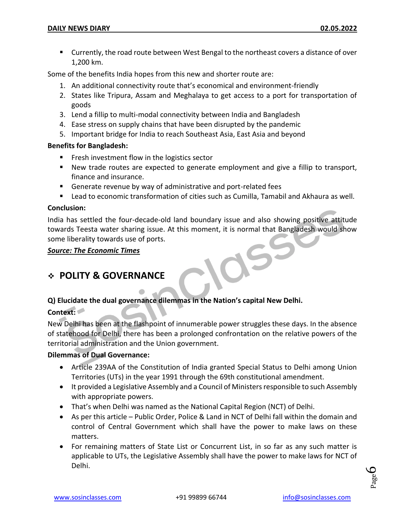Currently, the road route between West Bengal to the northeast covers a distance of over 1,200 km.

Some of the benefits India hopes from this new and shorter route are:

- 1. An additional connectivity route that's economical and environment-friendly
- 2. States like Tripura, Assam and Meghalaya to get access to a port for transportation of goods
- 3. Lend a fillip to multi-modal connectivity between India and Bangladesh
- 4. Ease stress on supply chains that have been disrupted by the pandemic
- 5. Important bridge for India to reach Southeast Asia, East Asia and beyond

#### **Benefits for Bangladesh:**

- **Filter** Fresh investment flow in the logistics sector
- New trade routes are expected to generate employment and give a fillip to transport, finance and insurance.
- Generate revenue by way of administrative and port-related fees
- **EXT** Lead to economic transformation of cities such as Cumilla, Tamabil and Akhaura as well.

#### **Conclusion:**

India has settled the four-decade-old land boundary issue and also showing positive attitude towards Teesta water sharing issue. At this moment, it is normal that Bangladesh would show some liberality towards use of ports.

*Source: The Economic Times*

#### **POLITY & GOVERNANCE**

#### **Q) Elucidate the dual governance dilemmas in the Nation's capital New Delhi.**

#### **Context:**

New Delhi has been at the flashpoint of innumerable power struggles these days. In the absence of statehood for Delhi, there has been a prolonged confrontation on the relative powers of the territorial administration and the Union government.

#### **Dilemmas of Dual Governance:**

- Article 239AA of the Constitution of India granted Special Status to Delhi among Union Territories (UTs) in the year 1991 through the 69th constitutional amendment.
- It provided a Legislative Assembly and a Council of Ministers responsible to such Assembly with appropriate powers.
- That's when Delhi was named as the National Capital Region (NCT) of Delhi.
- As per this article Public Order, Police & Land in NCT of Delhi fall within the domain and control of Central Government which shall have the power to make laws on these matters.
- For remaining matters of State List or Concurrent List, in so far as any such matter is applicable to UTs, the Legislative Assembly shall have the power to make laws for NCT of Delhi.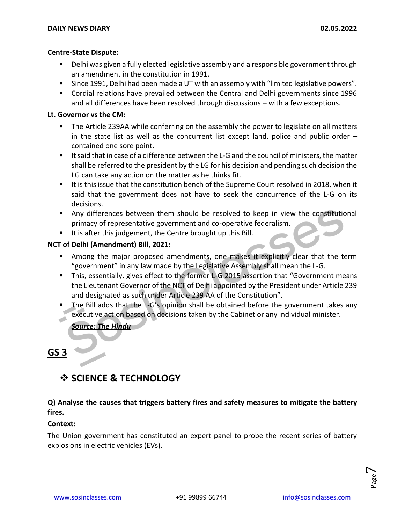#### **Centre-State Dispute:**

- Delhi was given a fully elected legislative assembly and a responsible government through an amendment in the constitution in 1991.
- Since 1991, Delhi had been made a UT with an assembly with "limited legislative powers".
- Cordial relations have prevailed between the Central and Delhi governments since 1996 and all differences have been resolved through discussions – with a few exceptions.

#### **Lt. Governor vs the CM:**

- **The Article 239AA while conferring on the assembly the power to legislate on all matters** in the state list as well as the concurrent list except land, police and public order – contained one sore point.
- It said that in case of a difference between the L-G and the council of ministers, the matter shall be referred to the president by the LG for his decision and pending such decision the LG can take any action on the matter as he thinks fit.
- It is this issue that the constitution bench of the Supreme Court resolved in 2018, when it said that the government does not have to seek the concurrence of the L-G on its decisions.
- Any differences between them should be resolved to keep in view the constitutional primacy of representative government and co-operative federalism.
- It is after this judgement, the Centre brought up this Bill.

#### **NCT of Delhi (Amendment) Bill, 2021:**

- **Among the major proposed amendments, one makes it explicitly clear that the term** "government" in any law made by the Legislative Assembly shall mean the L-G.
- This, essentially, gives effect to the former L-G 2015 assertion that "Government means the Lieutenant Governor of the NCT of Delhi appointed by the President under Article 239 and designated as such under Article 239 AA of the Constitution".
- The Bill adds that the L-G's opinion shall be obtained before the government takes any executive action based on decisions taken by the Cabinet or any individual minister.

*Source: The Hindu*

#### **GS 3**

#### **SCIENCE & TECHNOLOGY**

#### **Q) Analyse the causes that triggers battery fires and safety measures to mitigate the battery fires.**

#### **Context:**

The Union government has constituted an expert panel to probe the recent series of battery explosions in electric vehicles (EVs).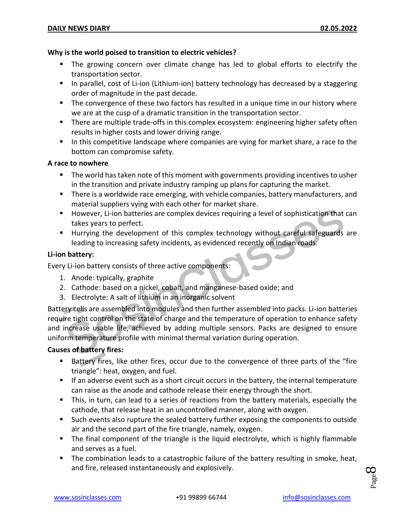#### **Why is the world poised to transition to electric vehicles?**

- The growing concern over climate change has led to global efforts to electrify the transportation sector.
- **IF** In parallel, cost of Li-ion (Lithium-ion) battery technology has decreased by a staggering order of magnitude in the past decade.
- **The convergence of these two factors has resulted in a unique time in our history where** we are at the cusp of a dramatic transition in the transportation sector.
- **There are multiple trade-offs in this complex ecosystem: engineering higher safety often** results in higher costs and lower driving range.
- In this competitive landscape where companies are vying for market share, a race to the bottom can compromise safety.

#### **A race to nowhere**

- **The world has taken note of this moment with governments providing incentives to usher** in the transition and private industry ramping up plans for capturing the market.
- **There is a worldwide race emerging, with vehicle companies, battery manufacturers, and** material suppliers vying with each other for market share.
- **However, Li-ion batteries are complex devices requiring a level of sophistication that can** takes years to perfect.
- Hurrying the development of this complex technology without careful safeguards are leading to increasing safety incidents, as evidenced recently on Indian roads.

#### **Li-ion battery:**

Every Li-ion battery consists of three active components:

- 1. Anode: typically, graphite
- 2. Cathode: based on a nickel, cobalt, and manganese-based oxide; and
- 3. Electrolyte: A salt of lithium in an inorganic solvent

Battery cells are assembled into modules and then further assembled into packs. Li-ion batteries require tight control on the state of charge and the temperature of operation to enhance safety and increase usable life, achieved by adding multiple sensors. Packs are designed to ensure uniform temperature profile with minimal thermal variation during operation.

#### **Causes of battery fires:**

- Battery fires, like other fires, occur due to the convergence of three parts of the "fire triangle": heat, oxygen, and fuel.
- If an adverse event such as a short circuit occurs in the battery, the internal temperature can raise as the anode and cathode release their energy through the short.
- This, in turn, can lead to a series of reactions from the battery materials, especially the cathode, that release heat in an uncontrolled manner, along with oxygen.
- Such events also rupture the sealed battery further exposing the components to outside air and the second part of the fire triangle, namely, oxygen.
- The final component of the triangle is the liquid electrolyte, which is highly flammable and serves as a fuel.
- The combination leads to a catastrophic failure of the battery resulting in smoke, heat, and fire, released instantaneously and explosively.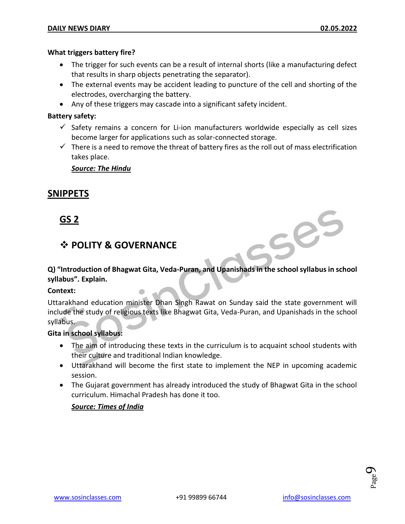#### **What triggers battery fire?**

- The trigger for such events can be a result of internal shorts (like a manufacturing defect that results in sharp objects penetrating the separator).
- The external events may be accident leading to puncture of the cell and shorting of the electrodes, overcharging the battery.
- Any of these triggers may cascade into a significant safety incident.

#### **Battery safety:**

- $\checkmark$  Safety remains a concern for Li-ion manufacturers worldwide especially as cell sizes become larger for applications such as solar-connected storage.
- $\checkmark$  There is a need to remove the threat of battery fires as the roll out of mass electrification takes place.

#### *Source: The Hindu*

#### **SNIPPETS**

#### **GS 2**

#### **POLITY & GOVERNANCE**

**Q) "Introduction of Bhagwat Gita, Veda-Puran, and Upanishads in the school syllabus in school syllabus". Explain.**

#### **Context:**

Uttarakhand education minister Dhan Singh Rawat on Sunday said the state government will include the study of religious texts like Bhagwat Gita, Veda-Puran, and Upanishads in the school syllabus.

#### **Gita in school syllabus:**

- The aim of introducing these texts in the curriculum is to acquaint school students with their culture and traditional Indian knowledge.
- Uttarakhand will become the first state to implement the NEP in upcoming academic session.
- The Gujarat government has already introduced the study of Bhagwat Gita in the school curriculum. Himachal Pradesh has done it too.

#### *Source: Times of India*



Ses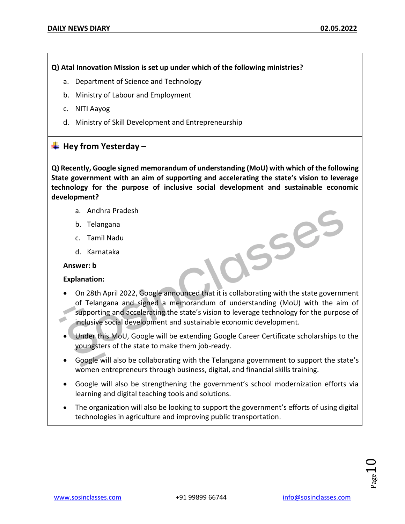#### **Q) Atal Innovation Mission is set up under which of the following ministries?**

- a. Department of Science and Technology
- b. Ministry of Labour and Employment
- c. NITI Aayog
- d. Ministry of Skill Development and Entrepreneurship

#### **Hey from Yesterday –**

**Q) Recently, Google signed memorandum of understanding (MoU) with which of the following State government with an aim of supporting and accelerating the state's vision to leverage technology for the purpose of inclusive social development and sustainable economic development?**

- a. Andhra Pradesh
- b. Telangana
- c. Tamil Nadu
- d. Karnataka

#### **Answer: b**

#### **Explanation:**

 On 28th April 2022, Google announced that it is collaborating with the state government of Telangana and signed a memorandum of understanding (MoU) with the aim of supporting and accelerating the state's vision to leverage technology for the purpose of inclusive social development and sustainable economic development.

OSSES

- Under this MoU, Google will be extending Google Career Certificate scholarships to the youngsters of the state to make them job-ready.
- Google will also be collaborating with the Telangana government to support the state's women entrepreneurs through business, digital, and financial skills training.
- Google will also be strengthening the government's school modernization efforts via learning and digital teaching tools and solutions.
- The organization will also be looking to support the government's efforts of using digital technologies in agriculture and improving public transportation.